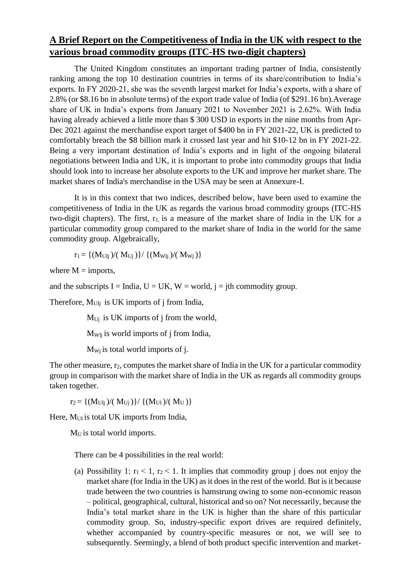## **A Brief Report on the Competitiveness of India in the UK with respect to the various broad commodity groups (ITC-HS two-digit chapters)**

The United Kingdom constitutes an important trading partner of India, consistently ranking among the top 10 destination countries in terms of its share/contribution to India's exports. In FY 2020-21, she was the seventh largest market for India's exports, with a share of 2.8% (or \$8.16 bn in absolute terms) of the export trade value of India (of \$291.16 bn).Average share of UK in India's exports from January 2021 to November 2021 is 2.62%. With India having already achieved a little more than \$ 300 USD in exports in the nine months from Apr-Dec 2021 against the merchandise export target of \$400 bn in FY 2021-22, UK is predicted to comfortably breach the \$8 billion mark it crossed last year and hit \$10-12 bn in FY 2021-22. Being a very important destination of India's exports and in light of the ongoing bilateral negotiations between India and UK, it is important to probe into commodity groups that India should look into to increase her absolute exports to the UK and improve her market share. The market shares of India's merchandise in the USA may be seen at Annexure-I.

It is in this context that two indices, described below, have been used to examine the competitiveness of India in the UK as regards the various broad commodity groups (ITC-HS two-digit chapters). The first,  $r_1$  is a measure of the market share of India in the UK for a particular commodity group compared to the market share of India in the world for the same commodity group. Algebraically,

$$
r_l=\{(M_{Ulj})/(~M_{Uj}~)\}/~\{(M_{Wlj})/(~M_{Wj}~)\}
$$

where  $M =$  imports,

and the subscripts I = India,  $U = UK$ ,  $W = world$ ,  $j = j$ th commodity group.

Therefore,  $M<sub>UIj</sub>$  is UK imports of j from India,

 $M_{U_i}$  is UK imports of j from the world,

MWIj is world imports of j from India,

 $M_{Wj}$  is total world imports of j.

The other measure, r<sub>2</sub>, computes the market share of India in the UK for a particular commodity group in comparison with the market share of India in the UK as regards all commodity groups taken together.

 $r_2 = \{(M_{UIi})/(M_{Ui})\}/\{(M_{UI})/(M_U)\}$ 

Here, M<sub>UI</sub> is total UK imports from India,

 $M_U$  is total world imports.

There can be 4 possibilities in the real world:

(a) Possibility 1:  $r_1 < 1$ ,  $r_2 < 1$ . It implies that commodity group j does not enjoy the market share (for India in the UK) as it does in the rest of the world. But is it because trade between the two countries is hamstrung owing to some non-economic reason – political, geographical, cultural, historical and so on? Not necessarily, because the India's total market share in the UK is higher than the share of this particular commodity group. So, industry-specific export drives are required definitely, whether accompanied by country-specific measures or not, we will see to subsequently. Seemingly, a blend of both product specific intervention and market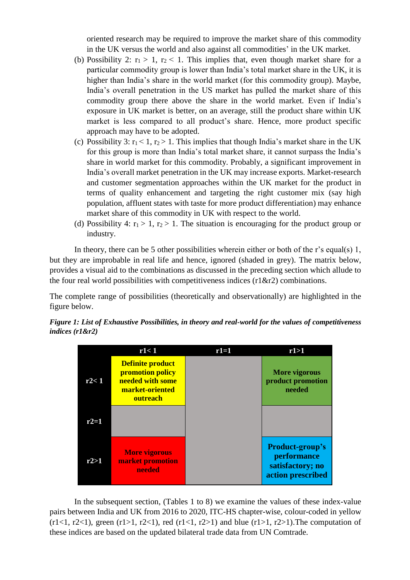oriented research may be required to improve the market share of this commodity in the UK versus the world and also against all commodities' in the UK market.

- (b) Possibility 2:  $r_1 > 1$ ,  $r_2 < 1$ . This implies that, even though market share for a particular commodity group is lower than India's total market share in the UK, it is higher than India's share in the world market (for this commodity group). Maybe, India's overall penetration in the US market has pulled the market share of this commodity group there above the share in the world market. Even if India's exposure in UK market is better, on an average, still the product share within UK market is less compared to all product's share. Hence, more product specific approach may have to be adopted.
- (c) Possibility 3:  $r_1 < 1$ ,  $r_2 > 1$ . This implies that though India's market share in the UK for this group is more than India's total market share, it cannot surpass the India's share in world market for this commodity. Probably, a significant improvement in India's overall market penetration in the UK may increase exports. Market-research and customer segmentation approaches within the UK market for the product in terms of quality enhancement and targeting the right customer mix (say high population, affluent states with taste for more product differentiation) may enhance market share of this commodity in UK with respect to the world.
- (d) Possibility 4:  $r_1 > 1$ ,  $r_2 > 1$ . The situation is encouraging for the product group or industry.

In theory, there can be 5 other possibilities wherein either or both of the r's equal(s) 1, but they are improbable in real life and hence, ignored (shaded in grey). The matrix below, provides a visual aid to the combinations as discussed in the preceding section which allude to the four real world possibilities with competitiveness indices  $(r1&\&r2)$  combinations.

The complete range of possibilities (theoretically and observationally) are highlighted in the figure below.





In the subsequent section, (Tables 1 to 8) we examine the values of these index-value pairs between India and UK from 2016 to 2020, ITC-HS chapter-wise, colour-coded in yellow  $(r1<1, r2<1)$ , green  $(r1>1, r2<1)$ , red  $(r1<1, r2>1)$  and blue  $(r1>1, r2>1)$ . The computation of these indices are based on the updated bilateral trade data from UN Comtrade.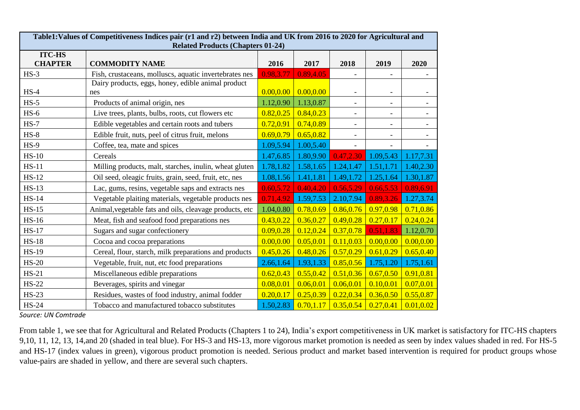|                                 | Table1: Values of Competitiveness Indices pair (r1 and r2) between India and UK from 2016 to 2020 for Agricultural and<br><b>Related Products (Chapters 01-24)</b> |            |            |                          |                          |                          |  |  |  |  |
|---------------------------------|--------------------------------------------------------------------------------------------------------------------------------------------------------------------|------------|------------|--------------------------|--------------------------|--------------------------|--|--|--|--|
| <b>ITC-HS</b><br><b>CHAPTER</b> | <b>COMMODITY NAME</b>                                                                                                                                              | 2016       | 2017       | 2018                     | 2019                     | 2020                     |  |  |  |  |
| $HS-3$                          | Fish, crustaceans, molluscs, aquatic invertebrates nes                                                                                                             | 0.98,3.77  | 0.89,4.05  |                          |                          |                          |  |  |  |  |
| $HS-4$                          | Dairy products, eggs, honey, edible animal product<br>nes                                                                                                          | 0.00, 0.00 | 0.00, 0.00 |                          | $\overline{\phantom{a}}$ | $\overline{\phantom{a}}$ |  |  |  |  |
| $HS-5$                          | Products of animal origin, nes                                                                                                                                     | 1.12,0.90  | 1.13,0.87  |                          | $\overline{\phantom{a}}$ | $\overline{\phantom{a}}$ |  |  |  |  |
| $HS-6$                          | Live trees, plants, bulbs, roots, cut flowers etc                                                                                                                  | 0.82, 0.25 | 0.84, 0.23 |                          | $\overline{\phantom{a}}$ |                          |  |  |  |  |
| $HS-7$                          | Edible vegetables and certain roots and tubers                                                                                                                     | 0.72,0.91  | 0.74,0.89  |                          | $\blacksquare$           | $\overline{\phantom{a}}$ |  |  |  |  |
| $HS-8$                          | Edible fruit, nuts, peel of citrus fruit, melons                                                                                                                   | 0.69, 0.79 | 0.65, 0.82 |                          | $\overline{\phantom{a}}$ |                          |  |  |  |  |
| $HS-9$                          | Coffee, tea, mate and spices                                                                                                                                       | 1.09,5.94  | 1.00,5.40  | $\overline{\phantom{a}}$ |                          |                          |  |  |  |  |
| $HS-10$                         | Cereals                                                                                                                                                            | 1.47,6.85  | 1.80,9.90  | 0.47,2.30                | 1.09,5.43                | 1.17,7.31                |  |  |  |  |
| $HS-11$                         | Milling products, malt, starches, inulin, wheat gluten                                                                                                             | 1.78,1.82  | 1.58,1.65  | 1.24, 1.47               | 1.51, 1.71               | 1.40,2.30                |  |  |  |  |
| $HS-12$                         | Oil seed, oleagic fruits, grain, seed, fruit, etc, nes                                                                                                             | 1.08,1.56  | 1.41,1.81  | 1.49, 1.72               | 1.25,1.64                | 1.30, 1.87               |  |  |  |  |
| $HS-13$                         | Lac, gums, resins, vegetable saps and extracts nes                                                                                                                 | 0.60,5.72  | 0.40, 4.20 | 0.56,5.29                | 0.66,5.53                | 0.89,6.91                |  |  |  |  |
| <b>HS-14</b>                    | Vegetable plaiting materials, vegetable products nes                                                                                                               | 0.71,4.92  | 1.59,7.53  | 2.10,7.94                | 0.89,3.26                | 1.27,3.74                |  |  |  |  |
| $HS-15$                         | Animal, vegetable fats and oils, cleavage products, etc                                                                                                            | 1.04,0.80  | 0.78,0.69  | 0.86,0.76                | 0.97, 0.98               | 0.71, 0.86               |  |  |  |  |
| <b>HS-16</b>                    | Meat, fish and seafood food preparations nes                                                                                                                       | 0.43, 0.22 | 0.36, 0.27 | 0.49, 0.28               | 0.27, 0.17               | 0.24, 0.24               |  |  |  |  |
| $HS-17$                         | Sugars and sugar confectionery                                                                                                                                     | 0.09, 0.28 | 0.12, 0.24 | 0.37,0.78                | 0.51,1.83                | 1.12,0.70                |  |  |  |  |
| <b>HS-18</b>                    | Cocoa and cocoa preparations                                                                                                                                       | 0.00, 0.00 | 0.05, 0.01 | 0.11, 0.03               | 0.00, 0.00               | 0.00, 0.00               |  |  |  |  |
| <b>HS-19</b>                    | Cereal, flour, starch, milk preparations and products                                                                                                              | 0.45, 0.26 | 0.48, 0.26 | 0.57, 0.29               | 0.61, 0.29               | 0.65, 0.40               |  |  |  |  |
| <b>HS-20</b>                    | Vegetable, fruit, nut, etc food preparations                                                                                                                       | 2.66,1.64  | 1.93, 1.33 | 0.85, 0.56               | 1.75,1.20                | 1.75,1.61                |  |  |  |  |
| $HS-21$                         | Miscellaneous edible preparations                                                                                                                                  | 0.62, 0.43 | 0.55, 0.42 | 0.51, 0.36               | 0.67, 0.50               | 0.91,0.81                |  |  |  |  |
| <b>HS-22</b>                    | Beverages, spirits and vinegar                                                                                                                                     | 0.08, 0.01 | 0.06, 0.01 | 0.06, 0.01               | 0.10, 0.01               | 0.07, 0.01               |  |  |  |  |
| $HS-23$                         | Residues, wastes of food industry, animal fodder                                                                                                                   | 0.20, 0.17 | 0.25, 0.39 | 0.22, 0.34               | 0.36, 0.50               | 0.55, 0.87               |  |  |  |  |
| <b>HS-24</b>                    | Tobacco and manufactured tobacco substitutes                                                                                                                       | 1.50,2.83  | 0.70, 1.17 | 0.35, 0.54               | 0.27, 0.41               | 0.01, 0.02               |  |  |  |  |

 From table 1, we see that for Agricultural and Related Products (Chapters 1 to 24), India's export competitiveness in UK market is satisfactory for ITC-HS chapters 9,10, 11, 12, 13, 14,and 20 (shaded in teal blue). For HS-3 and HS-13, more vigorous market promotion is needed as seen by index values shaded in red. For HS-5 and HS-17 (index values in green), vigorous product promotion is needed. Serious product and market based intervention is required for product groups whose value-pairs are shaded in yellow, and there are several such chapters.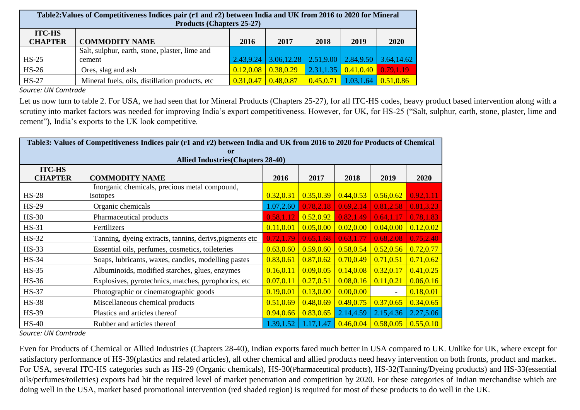| Table 2: Values of Competitiveness Indices pair (r1 and r2) between India and UK from 2016 to 2020 for Mineral<br><b>Products (Chapters 25-27)</b> |                                                          |            |                                                                       |            |            |            |  |
|----------------------------------------------------------------------------------------------------------------------------------------------------|----------------------------------------------------------|------------|-----------------------------------------------------------------------|------------|------------|------------|--|
| <b>ITC-HS</b><br><b>CHAPTER</b>                                                                                                                    | <b>COMMODITY NAME</b>                                    | 2016       | 2017                                                                  | 2018       | 2019       | 2020       |  |
| $HS-25$                                                                                                                                            | Salt, sulphur, earth, stone, plaster, lime and<br>cement |            | $2.43,9.24$   $3.06,12.28$   $2.51,9.00$   $2.84,9.50$   $3.64,14.62$ |            |            |            |  |
| $HS-26$                                                                                                                                            | Ores, slag and ash                                       | 0.12, 0.08 | 0.38,0.29                                                             | 2.31, 1.35 | 0.41, 0.40 | 0.79,1.19  |  |
| $HS-27$                                                                                                                                            | Mineral fuels, oils, distillation products, etc.         | 0.31,0.47  | 0.48,0.87                                                             | 0.45, 0.71 | 1.03,1.64  | 0.51, 0.86 |  |

Let us now turn to table 2. For USA, we had seen that for Mineral Products (Chapters 25-27), for all ITC-HS codes, heavy product based intervention along with a scrutiny into market factors was needed for improving India's export competitiveness. However, for UK, for HS-25 ("Salt, sulphur, earth, stone, plaster, lime and cement"), India's exports to the UK look competitive.

| Table3: Values of Competitiveness Indices pair (r1 and r2) between India and UK from 2016 to 2020 for Products of Chemical |                                                          |            |            |            |                |              |  |
|----------------------------------------------------------------------------------------------------------------------------|----------------------------------------------------------|------------|------------|------------|----------------|--------------|--|
| <sub>or</sub>                                                                                                              |                                                          |            |            |            |                |              |  |
|                                                                                                                            | <b>Allied Industries (Chapters 28-40)</b>                |            |            |            |                |              |  |
| <b>ITC-HS</b>                                                                                                              |                                                          |            |            |            |                |              |  |
| <b>CHAPTER</b>                                                                                                             | <b>COMMODITY NAME</b>                                    | 2016       | 2017       | 2018       | 2019           | 2020         |  |
|                                                                                                                            | Inorganic chemicals, precious metal compound,            |            |            |            |                |              |  |
| $HS-28$                                                                                                                    | isotopes                                                 | 0.32, 0.31 | 0.35, 0.39 | 0.44, 0.53 | 0.56, 0.62     | 0.92, 1.11   |  |
| <b>HS-29</b>                                                                                                               | Organic chemicals                                        | 1.07,2.60  | 0.78,2.18  | 0.69, 2.14 | 0.81,2.58      | [0.81, 3.23] |  |
| $HS-30$                                                                                                                    | Pharmaceutical products                                  | 0.58,1.12  | 0.52, 0.92 | 0.82,1.49  | 0.64, 1.17     | 0.78, 1.83   |  |
| <b>HS-31</b>                                                                                                               | Fertilizers                                              | 0.11, 0.01 | 0.05, 0.00 | 0.02, 0.00 | 0.04, 0.00     | 0.12, 0.02   |  |
| <b>HS-32</b>                                                                                                               | Tanning, dyeing extracts, tannins, derivs, pigments etc. | 0.72,1.79  | 0.65, 1.68 | 0.63,1.77  | 0.68,2.08      | 0.75,2.40    |  |
| $HS-33$                                                                                                                    | Essential oils, perfumes, cosmetics, toileteries         | 0.63, 0.60 | 0.59, 0.60 | 0.58, 0.54 | 0.52, 0.56     | 0.72,0.77    |  |
| <b>HS-34</b>                                                                                                               | Soaps, lubricants, waxes, candles, modelling pastes      | 0.83, 0.61 | 0.87, 0.62 | 0.70, 0.49 | 0.71, 0.51     | 0.71, 0.62   |  |
| <b>HS-35</b>                                                                                                               | Albuminoids, modified starches, glues, enzymes           | 0.16, 0.11 | 0.09, 0.05 | 0.14, 0.08 | 0.32, 0.17     | 0.41, 0.25   |  |
| <b>HS-36</b>                                                                                                               | Explosives, pyrotechnics, matches, pyrophorics, etc      | 0.07, 0.11 | 0.27, 0.51 | 0.08, 0.16 | 0.11, 0.21     | 0.06, 0.16   |  |
| <b>HS-37</b>                                                                                                               | Photographic or cinematographic goods                    | 0.19, 0.01 | 0.13, 0.00 | 0.00, 0.00 | $\blacksquare$ | 0.18, 0.01   |  |
| <b>HS-38</b>                                                                                                               | Miscellaneous chemical products                          | 0.51, 0.69 | 0.48, 0.69 | 0.49, 0.75 | 0.37, 0.65     | 0.34, 0.65   |  |
| <b>HS-39</b>                                                                                                               | Plastics and articles thereof                            | 0.94, 0.66 | 0.83, 0.65 | 2.14,4.59  | 2.15,4.36      | 2.27,5.06    |  |
| $HS-40$                                                                                                                    | Rubber and articles thereof                              | 1.39, 1.52 | 1.17,1.47  | 0.46, 0.04 | 0.58, 0.05     | 0.55, 0.10   |  |

*Source: UN Comtrade*

Even for Products of Chemical or Allied Industries (Chapters 28-40), Indian exports fared much better in USA compared to UK. Unlike for UK, where except for satisfactory performance of HS-39(plastics and related articles), all other chemical and allied products need heavy intervention on both fronts, product and market. For USA, several ITC-HS categories such as HS-29 (Organic chemicals), HS-30(Pharmaceutical products), HS-32(Tanning/Dyeing products) and HS-33(essential oils/perfumes/toiletries) exports had hit the required level of market penetration and competition by 2020. For these categories of Indian merchandise which are doing well in the USA, market based promotional intervention (red shaded region) is required for most of these products to do well in the UK.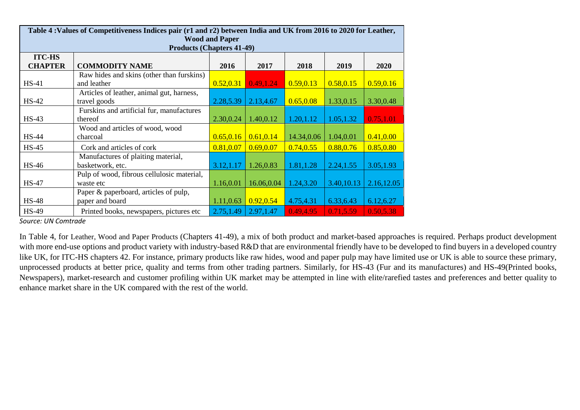|                                  | Table 4: Values of Competitiveness Indices pair (r1 and r2) between India and UK from 2016 to 2020 for Leather, |            |            |            |            |             |  |  |  |  |
|----------------------------------|-----------------------------------------------------------------------------------------------------------------|------------|------------|------------|------------|-------------|--|--|--|--|
| <b>Wood and Paper</b>            |                                                                                                                 |            |            |            |            |             |  |  |  |  |
| <b>Products (Chapters 41-49)</b> |                                                                                                                 |            |            |            |            |             |  |  |  |  |
| <b>ITC-HS</b>                    |                                                                                                                 |            |            |            |            |             |  |  |  |  |
| <b>CHAPTER</b>                   | <b>COMMODITY NAME</b>                                                                                           | 2016       | 2017       | 2018       | 2019       | <b>2020</b> |  |  |  |  |
|                                  | Raw hides and skins (other than furskins)                                                                       |            |            |            |            |             |  |  |  |  |
| $HS-41$                          | and leather                                                                                                     | 0.52, 0.31 | 0.49, 1.24 | 0.59, 0.13 | 0.58, 0.15 | 0.59, 0.16  |  |  |  |  |
|                                  | Articles of leather, animal gut, harness,                                                                       |            |            |            |            |             |  |  |  |  |
| $HS-42$                          | travel goods                                                                                                    | 2.28,5.39  | 2.13,4.67  | 0.65, 0.08 | 1.33,0.15  | 3.30,0.48   |  |  |  |  |
|                                  | Furskins and artificial fur, manufactures                                                                       |            |            |            |            |             |  |  |  |  |
| $HS-43$                          | thereof                                                                                                         | 2.30,0.24  | 1.40,0.12  | 1.20, 1.12 | 1.05, 1.32 | 0.75,1.01   |  |  |  |  |
|                                  | Wood and articles of wood, wood                                                                                 |            |            |            |            |             |  |  |  |  |
| <b>HS-44</b>                     | charcoal                                                                                                        | 0.65, 0.16 | 0.61, 0.14 | 14.34,0.06 | 1.04,0.01  | 0.41, 0.00  |  |  |  |  |
| <b>HS-45</b>                     | Cork and articles of cork                                                                                       | 0.81, 0.07 | 0.69, 0.07 | 0.74, 0.55 | 0.88, 0.76 | 0.85, 0.80  |  |  |  |  |
|                                  | Manufactures of plaiting material,                                                                              |            |            |            |            |             |  |  |  |  |
| $HS-46$                          | basketwork, etc.                                                                                                | 3.12, 1.17 | 1.26,0.83  | 1.81, 1.28 | 2.24, 1.55 | 3.05,1.93   |  |  |  |  |
|                                  | Pulp of wood, fibrous cellulosic material,                                                                      |            |            |            |            |             |  |  |  |  |
| <b>HS-47</b>                     | waste etc                                                                                                       | 1.16,0.01  | 16.06,0.04 | 1.24,3.20  | 3.40,10.13 | 2.16, 12.05 |  |  |  |  |
|                                  | Paper & paperboard, articles of pulp,                                                                           |            |            |            |            |             |  |  |  |  |
| $HS-48$                          | paper and board                                                                                                 | 1.11,0.63  | 0.92, 0.54 | 4.75,4.31  | 6.33, 6.43 | 6.12,6.27   |  |  |  |  |
| <b>HS-49</b>                     | Printed books, newspapers, pictures etc                                                                         | 2.75,1.49  | 2.97, 1.47 | 0.49, 4.95 | 0.71,5.59  | 0.50,5.38   |  |  |  |  |

In Table 4, for Leather, Wood and Paper Products (Chapters 41-49), a mix of both product and market-based approaches is required. Perhaps product development with more end-use options and product variety with industry-based R&D that are environmental friendly have to be developed to find buyers in a developed country like UK, for ITC-HS chapters 42. For instance, primary products like raw hides, wood and paper pulp may have limited use or UK is able to source these primary, unprocessed products at better price, quality and terms from other trading partners. Similarly, for HS-43 (Fur and its manufactures) and HS-49(Printed books, Newspapers), market-research and customer profiling within UK market may be attempted in line with elite/rarefied tastes and preferences and better quality to enhance market share in the UK compared with the rest of the world.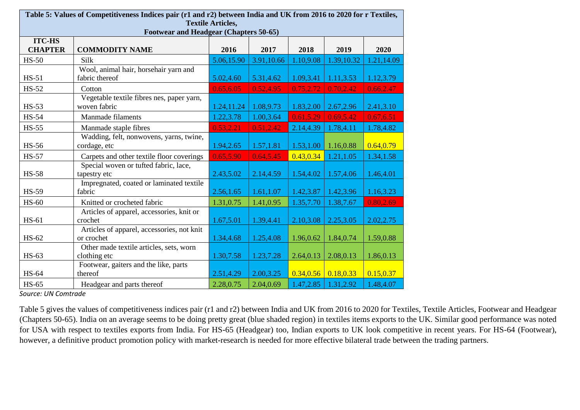|                | Table 5: Values of Competitiveness Indices pair (r1 and r2) between India and UK from 2016 to 2020 for r Textiles, |                          |            |            |            |            |
|----------------|--------------------------------------------------------------------------------------------------------------------|--------------------------|------------|------------|------------|------------|
|                | Footwear and Headgear (Chapters 50-65)                                                                             | <b>Textile Articles,</b> |            |            |            |            |
| <b>ITC-HS</b>  |                                                                                                                    |                          |            |            |            |            |
| <b>CHAPTER</b> | <b>COMMODITY NAME</b>                                                                                              | 2016                     | 2017       | 2018       | 2019       | 2020       |
| $HS-50$        | Silk                                                                                                               | 5.06,15.90               | 3.91,10.66 | 1.10,9.08  | 1.39,10.32 | 1.21,14.09 |
|                | Wool, animal hair, horsehair yarn and                                                                              |                          |            |            |            |            |
| $HS-51$        | fabric thereof                                                                                                     | 5.02,4.60                | 5.31,4.62  | 1.09,3.41  | 1.11,3.53  | 1.12,3.79  |
| $HS-52$        | Cotton                                                                                                             | 0.65, 6.05               | 0.52,4.95  | 0.75,2.72  | 0.70,2.42  | 0.66, 2.47 |
|                | Vegetable textile fibres nes, paper yarn,                                                                          |                          |            |            |            |            |
| <b>HS-53</b>   | woven fabric                                                                                                       | 1.24,11.24               | 1.08,9.73  | 1.83,2.00  | 2.67,2.96  | 2.41,3.10  |
| <b>HS-54</b>   | <b>Manmade filaments</b>                                                                                           | 1.22,3.78                | 1.00,3.64  | 0.61, 5.29 | 0.69,5.42  | 0.67,6.51  |
| <b>HS-55</b>   | Manmade staple fibres                                                                                              | 0.53,2.21                | 0.51,2.42  | 2.14,4.39  | 1.78,4.11  | 1.78,4.82  |
|                | Wadding, felt, nonwovens, yarns, twine,                                                                            |                          |            |            |            |            |
| <b>HS-56</b>   | cordage, etc                                                                                                       | 1.94,2.65                | 1.57,1.81  | 1.53,1.00  | 1.16,0.88  | 0.64, 0.79 |
| <b>HS-57</b>   | Carpets and other textile floor coverings                                                                          | 0.65,5.90                | 0.64,5.45  | 0.43, 0.34 | 1.21,1.05  | 1.34,1.58  |
|                | Special woven or tufted fabric, lace,                                                                              |                          |            |            |            |            |
| <b>HS-58</b>   | tapestry etc                                                                                                       | 2.43,5.02                | 2.14,4.59  | 1.54,4.02  | 1.57,4.06  | 1.46,4.01  |
|                | Impregnated, coated or laminated textile                                                                           |                          |            |            |            |            |
| <b>HS-59</b>   | fabric                                                                                                             | 2.56,1.65                | 1.61,1.07  | 1.42,3.87  | 1.42,3.96  | 1.16,3.23  |
| $HS-60$        | Knitted or crocheted fabric                                                                                        | 1.31,0.75                | 1.41,0.95  | 1.35,7.70  | 1.38,7.67  | 0.80,2.69  |
| HS-61          | Articles of apparel, accessories, knit or<br>crochet                                                               | 1.67,5.01                | 1.39,4.41  | 2.10,3.08  | 2.25,3.05  | 2.02, 2.75 |
|                | Articles of apparel, accessories, not knit                                                                         |                          |            |            |            |            |
| HS-62          | or crochet                                                                                                         | 1.34,4.68                | 1.25,4.08  | 1.96,0.62  | 1.84,0.74  | 1.59,0.88  |
|                | Other made textile articles, sets, worn                                                                            |                          |            |            |            |            |
| HS-63          | clothing etc                                                                                                       | 1.30,7.58                | 1.23,7.28  | 2.64,0.13  | 2.08,0.13  | 1.86,0.13  |
|                | Footwear, gaiters and the like, parts                                                                              |                          |            |            |            |            |
| HS-64          | thereof                                                                                                            | 2.51,4.29                | 2.00,3.25  | 0.34, 0.56 | 0.18, 0.33 | 0.15, 0.37 |
| <b>HS-65</b>   | Headgear and parts thereof                                                                                         | 2.28,0.75                | 2.04,0.69  | 1.47,2.85  | 1.31,2.92  | 1.48,4.07  |

Table 5 gives the values of competitiveness indices pair (r1 and r2) between India and UK from 2016 to 2020 for Textiles, Textile Articles, Footwear and Headgear (Chapters 50-65). India on an average seems to be doing pretty great (blue shaded region) in textiles items exports to the UK. Similar good performance was noted for USA with respect to textiles exports from India. For HS-65 (Headgear) too, Indian exports to UK look competitive in recent years. For HS-64 (Footwear), however, a definitive product promotion policy with market-research is needed for more effective bilateral trade between the trading partners.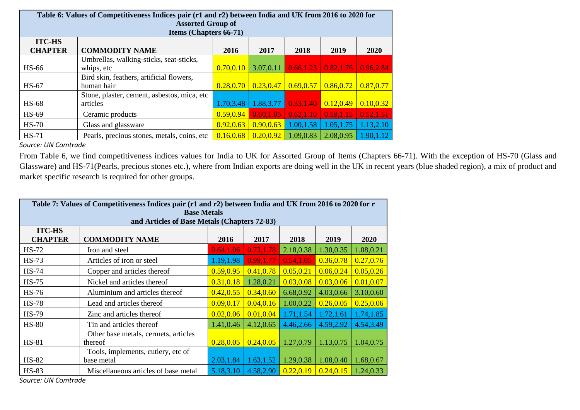|                | Table 6: Values of Competitiveness Indices pair (r1 and r2) between India and UK from 2016 to 2020 for<br><b>Assorted Group of</b><br><b>Items (Chapters 66-71)</b> |            |            |            |            |            |  |  |  |  |
|----------------|---------------------------------------------------------------------------------------------------------------------------------------------------------------------|------------|------------|------------|------------|------------|--|--|--|--|
| <b>ITC-HS</b>  |                                                                                                                                                                     |            |            |            |            |            |  |  |  |  |
| <b>CHAPTER</b> | <b>COMMODITY NAME</b>                                                                                                                                               | 2016       | 2017       | 2018       | 2019       | 2020       |  |  |  |  |
|                | Umbrellas, walking-sticks, seat-sticks,                                                                                                                             |            |            |            |            |            |  |  |  |  |
| <b>HS-66</b>   | whips, etc                                                                                                                                                          | 0.70, 0.10 | 3.07,0.11  | 0.66,1.23  | 0.82, 1.76 | 0.96.2.84  |  |  |  |  |
|                | Bird skin, feathers, artificial flowers,                                                                                                                            |            |            |            |            |            |  |  |  |  |
| $HS-67$        | human hair                                                                                                                                                          | 0.28, 0.70 | 0.23,0.47  | 0.69, 0.57 | 0.86, 0.72 | 0.87,0.77  |  |  |  |  |
|                | Stone, plaster, cement, asbestos, mica, etc                                                                                                                         |            |            |            |            |            |  |  |  |  |
| <b>HS-68</b>   | articles                                                                                                                                                            | 1.70,3.48  | 1.88, 3.77 | 0.33,1.40  | 0.12, 0.49 | 0.10, 0.32 |  |  |  |  |
| HS-69          | Ceramic products                                                                                                                                                    | 0.59, 0.94 | 0.60, 1.05 | 0.62, 1.10 | 0.59, 1.15 | 0.52, 1.51 |  |  |  |  |
| $HS-70$        | Glass and glassware                                                                                                                                                 | 0.92, 0.63 | 0.90, 0.63 | 1.00,1.58  | 1.05, 1.75 | 1.13,2.10  |  |  |  |  |
| $HS-71$        | Pearls, precious stones, metals, coins, etc.                                                                                                                        | 0.16, 0.68 | 0.20, 0.92 | 1.09,0.83  | 2.08,0.95  | 1.90, 1.12 |  |  |  |  |

From Table 6, we find competitiveness indices values for India to UK for Assorted Group of Items (Chapters 66-71). With the exception of HS-70 (Glass and Glassware) and HS-71(Pearls, precious stones etc.), where from Indian exports are doing well in the UK in recent years (blue shaded region), a mix of product and market specific research is required for other groups.

| Table 7: Values of Competitiveness Indices pair (r1 and r2) between India and UK from 2016 to 2020 for r<br><b>Base Metals</b><br>and Articles of Base Metals (Chapters 72-83) |                                                  |            |            |            |            |             |  |  |
|--------------------------------------------------------------------------------------------------------------------------------------------------------------------------------|--------------------------------------------------|------------|------------|------------|------------|-------------|--|--|
| <b>ITC-HS</b><br><b>CHAPTER</b>                                                                                                                                                | <b>COMMODITY NAME</b>                            | 2016       | 2017       | 2018       | 2019       | <b>2020</b> |  |  |
| $HS-72$                                                                                                                                                                        | Iron and steel                                   | 0.64,1.06  | 0.73,1.78  | 2.18,0.38  | 1.30,0.35  | 1.08,0.21   |  |  |
| $HS-73$                                                                                                                                                                        | Articles of iron or steel                        | 1.19,1.98  | 0.99, 1.77 | 0.54,1.05  | 0.36, 0.78 | 0.27, 0.76  |  |  |
| <b>HS-74</b>                                                                                                                                                                   | Copper and articles thereof                      | 0.59, 0.95 | 0.41,0.78  | 0.05, 0.21 | 0.06, 0.24 | 0.05, 0.26  |  |  |
| $HS-75$                                                                                                                                                                        | Nickel and articles thereof                      | 0.31, 0.18 | 1.28,0.21  | 0.03, 0.08 | 0.03, 0.06 | 0.01, 0.07  |  |  |
| <b>HS-76</b>                                                                                                                                                                   | Aluminium and articles thereof                   | 0.42, 0.55 | 0.34, 0.60 | 6.68,0.92  | 4.03,0.66  | 3.10,0.60   |  |  |
| <b>HS-78</b>                                                                                                                                                                   | Lead and articles thereof                        | 0.09, 0.17 | 0.04, 0.16 | 1.00,0.22  | 0.26, 0.05 | 0.25, 0.06  |  |  |
| <b>HS-79</b>                                                                                                                                                                   | Zinc and articles thereof                        | 0.02, 0.06 | 0.01, 0.04 | 1.71,1.54  | 1.72,1.61  | 1.74,1.85   |  |  |
| <b>HS-80</b>                                                                                                                                                                   | Tin and articles thereof                         | 1.41,0.46  | 4.12,0.65  | 4.46,2.66  | 4.59,2.92  | 4.54,3.49   |  |  |
| <b>HS-81</b>                                                                                                                                                                   | Other base metals, cermets, articles<br>thereof  | 0.28, 0.05 | 0.24, 0.05 | 1.27,0.79  | 1.13,0.75  | 1.04,0.75   |  |  |
| <b>HS-82</b>                                                                                                                                                                   | Tools, implements, cutlery, etc of<br>base metal | 2.03, 1.84 | 1.63, 1.52 | 1.29,0.38  | 1.08,0.40  | 1.68,0.67   |  |  |
| <b>HS-83</b>                                                                                                                                                                   | Miscellaneous articles of base metal             | 5.18,3.10  | 4.58,2.90  | 0.22, 0.19 | 0.24, 0.15 | 1.24,0.33   |  |  |

*Source: UN Comtrade*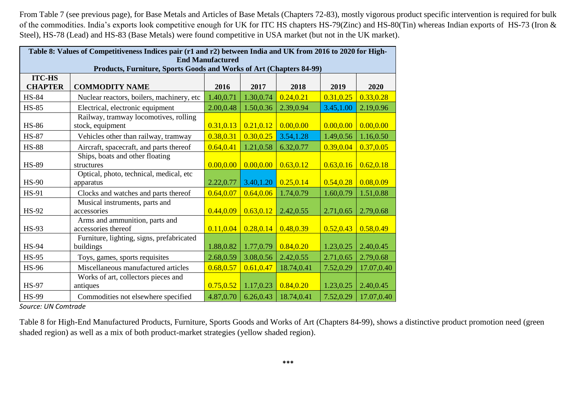From Table 7 (see previous page), for Base Metals and Articles of Base Metals (Chapters 72-83), mostly vigorous product specific intervention is required for bulk of the commodities. India's exports look competitive enough for UK for ITC HS chapters HS-79(Zinc) and HS-80(Tin) whereas Indian exports of HS-73 (Iron & Steel), HS-78 (Lead) and HS-83 (Base Metals) were found competitive in USA market (but not in the UK market).

|                | Table 8: Values of Competitiveness Indices pair (r1 and r2) between India and UK from 2016 to 2020 for High-<br><b>End Manufactured</b> |            |            |            |            |            |  |  |  |
|----------------|-----------------------------------------------------------------------------------------------------------------------------------------|------------|------------|------------|------------|------------|--|--|--|
| <b>ITC-HS</b>  | Products, Furniture, Sports Goods and Works of Art (Chapters 84-99)                                                                     |            |            |            |            |            |  |  |  |
| <b>CHAPTER</b> | <b>COMMODITY NAME</b>                                                                                                                   | 2016       | 2017       | 2018       | 2019       | 2020       |  |  |  |
| <b>HS-84</b>   | Nuclear reactors, boilers, machinery, etc                                                                                               | 1.40,0.71  | 1.30,0.74  | 0.24, 0.21 | 0.31, 0.25 | 0.33, 0.28 |  |  |  |
| <b>HS-85</b>   | Electrical, electronic equipment                                                                                                        | 2.00,0.48  | 1.50,0.36  | 2.39,0.94  | 3.45, 1.00 | 2.19,0.96  |  |  |  |
| <b>HS-86</b>   | Railway, tramway locomotives, rolling<br>stock, equipment                                                                               | 0.31, 0.13 | 0.21, 0.12 | 0.00, 0.00 | 0.00, 0.00 | 0.00, 0.00 |  |  |  |
| <b>HS-87</b>   | Vehicles other than railway, tramway                                                                                                    | 0.38,0.31  | 0.30, 0.25 | 3.54,1.28  | 1.49,0.56  | 1.16,0.50  |  |  |  |
| <b>HS-88</b>   | Aircraft, spacecraft, and parts thereof                                                                                                 | 0.64, 0.41 | 1.21,0.58  | 6.32,0.77  | 0.39, 0.04 | 0.37, 0.05 |  |  |  |
| <b>HS-89</b>   | Ships, boats and other floating<br>structures                                                                                           | 0.00, 0.00 | 0.00, 0.00 | 0.63, 0.12 | 0.63, 0.16 | 0.62, 0.18 |  |  |  |
| <b>HS-90</b>   | Optical, photo, technical, medical, etc<br>apparatus                                                                                    | 2.22,0.77  | 3.40,1.20  | 0.25, 0.14 | 0.54, 0.28 | 0.08, 0.09 |  |  |  |
| <b>HS-91</b>   | Clocks and watches and parts thereof                                                                                                    | 0.64, 0.07 | 0.64, 0.06 | 1.74,0.79  | 1.60,0.79  | 1.51,0.88  |  |  |  |
| HS-92          | Musical instruments, parts and<br>accessories                                                                                           | 0.44, 0.09 | 0.63, 0.12 | 2.42,0.55  | 2.71,0.65  | 2.79,0.68  |  |  |  |
| <b>HS-93</b>   | Arms and ammunition, parts and<br>accessories thereof                                                                                   | 0.11, 0.04 | 0.28, 0.14 | 0.48,0.39  | 0.52, 0.43 | 0.58,0.49  |  |  |  |
| <b>HS-94</b>   | Furniture, lighting, signs, prefabricated<br>buildings                                                                                  | 1.88,0.82  | 1.77,0.79  | 0.84, 0.20 | 1.23,0.25  | 2.40,0.45  |  |  |  |
| <b>HS-95</b>   | Toys, games, sports requisites                                                                                                          | 2.68,0.59  | 3.08,0.56  | 2.42,0.55  | 2.71,0.65  | 2.79,0.68  |  |  |  |
| <b>HS-96</b>   | Miscellaneous manufactured articles                                                                                                     | 0.68, 0.57 | 0.61, 0.47 | 18.74,0.41 | 7.52,0.29  | 17.07,0.40 |  |  |  |
| <b>HS-97</b>   | Works of art, collectors pieces and<br>antiques                                                                                         | 0.75, 0.52 | 1.17,0.23  | 0.84, 0.20 | 1.23,0.25  | 2.40,0.45  |  |  |  |
| <b>HS-99</b>   | Commodities not elsewhere specified                                                                                                     | 4.87,0.70  | 6.26,0.43  | 18.74,0.41 | 7.52,0.29  | 17.07,0.40 |  |  |  |

*Source: UN Comtrade*

Table 8 for High-End Manufactured Products, Furniture, Sports Goods and Works of Art (Chapters 84-99), shows a distinctive product promotion need (green shaded region) as well as a mix of both product-market strategies (yellow shaded region).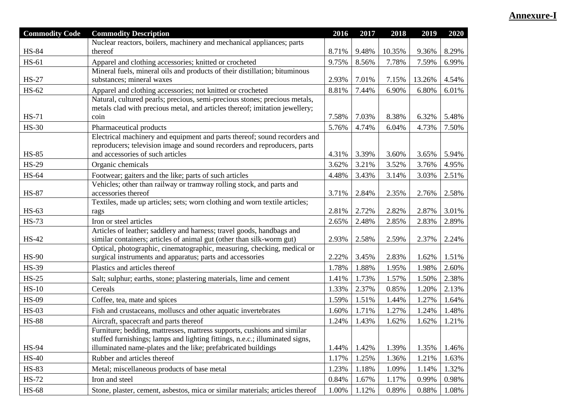## **Annexure-I**

| <b>Commodity Code</b> | <b>Commodity Description</b>                                                                                 | 2016  | 2017  | 2018   | 2019   | 2020  |
|-----------------------|--------------------------------------------------------------------------------------------------------------|-------|-------|--------|--------|-------|
|                       | Nuclear reactors, boilers, machinery and mechanical appliances; parts                                        |       |       |        |        |       |
| <b>HS-84</b>          | thereof                                                                                                      | 8.71% | 9.48% | 10.35% | 9.36%  | 8.29% |
| HS-61                 | Apparel and clothing accessories; knitted or crocheted                                                       | 9.75% | 8.56% | 7.78%  | 7.59%  | 6.99% |
|                       | Mineral fuels, mineral oils and products of their distillation; bituminous                                   |       |       |        |        |       |
| <b>HS-27</b>          | substances; mineral waxes                                                                                    | 2.93% | 7.01% | 7.15%  | 13.26% | 4.54% |
| HS-62                 | Apparel and clothing accessories; not knitted or crocheted                                                   | 8.81% | 7.44% | 6.90%  | 6.80%  | 6.01% |
|                       | Natural, cultured pearls; precious, semi-precious stones; precious metals,                                   |       |       |        |        |       |
|                       | metals clad with precious metal, and articles thereof; imitation jewellery;                                  |       |       |        |        |       |
| <b>HS-71</b>          | coin                                                                                                         | 7.58% | 7.03% | 8.38%  | 6.32%  | 5.48% |
| <b>HS-30</b>          | Pharmaceutical products                                                                                      | 5.76% | 4.74% | 6.04%  | 4.73%  | 7.50% |
|                       | Electrical machinery and equipment and parts thereof; sound recorders and                                    |       |       |        |        |       |
| <b>HS-85</b>          | reproducers; television image and sound recorders and reproducers, parts<br>and accessories of such articles | 4.31% | 3.39% | 3.60%  | 3.65%  | 5.94% |
|                       |                                                                                                              |       |       |        |        |       |
| <b>HS-29</b>          | Organic chemicals                                                                                            | 3.62% | 3.21% | 3.52%  | 3.76%  | 4.95% |
| HS-64                 | Footwear; gaiters and the like; parts of such articles                                                       | 4.48% | 3.43% | 3.14%  | 3.03%  | 2.51% |
| <b>HS-87</b>          | Vehicles; other than railway or tramway rolling stock, and parts and<br>accessories thereof                  |       | 2.84% |        |        |       |
|                       | Textiles, made up articles; sets; worn clothing and worn textile articles;                                   | 3.71% |       | 2.35%  | 2.76%  | 2.58% |
| HS-63                 | rags                                                                                                         | 2.81% | 2.72% | 2.82%  | 2.87%  | 3.01% |
| <b>HS-73</b>          | Iron or steel articles                                                                                       | 2.65% | 2.48% | 2.85%  | 2.83%  | 2.89% |
|                       | Articles of leather; saddlery and harness; travel goods, handbags and                                        |       |       |        |        |       |
| HS-42                 | similar containers; articles of animal gut (other than silk-worm gut)                                        | 2.93% | 2.58% | 2.59%  | 2.37%  | 2.24% |
|                       | Optical, photographic, cinematographic, measuring, checking, medical or                                      |       |       |        |        |       |
| $HS-90$               | surgical instruments and apparatus; parts and accessories                                                    | 2.22% | 3.45% | 2.83%  | 1.62%  | 1.51% |
| <b>HS-39</b>          | Plastics and articles thereof                                                                                | 1.78% | 1.88% | 1.95%  | 1.98%  | 2.60% |
| $HS-25$               | Salt; sulphur; earths, stone; plastering materials, lime and cement                                          | 1.41% | 1.73% | 1.57%  | 1.50%  | 2.38% |
| $HS-10$               | Cereals                                                                                                      | 1.33% | 2.37% | 0.85%  | 1.20%  | 2.13% |
| <b>HS-09</b>          | Coffee, tea, mate and spices                                                                                 | 1.59% | 1.51% | 1.44%  | 1.27%  | 1.64% |
| $HS-03$               | Fish and crustaceans, molluscs and other aquatic invertebrates                                               | 1.60% | 1.71% | 1.27%  | 1.24%  | 1.48% |
| <b>HS-88</b>          | Aircraft, spacecraft and parts thereof                                                                       | 1.24% | 1.43% | 1.62%  | 1.62%  | 1.21% |
|                       | Furniture; bedding, mattresses, mattress supports, cushions and similar                                      |       |       |        |        |       |
|                       | stuffed furnishings; lamps and lighting fittings, n.e.c.; illuminated signs,                                 |       |       |        |        |       |
| <b>HS-94</b>          | illuminated name-plates and the like; prefabricated buildings                                                | 1.44% | 1.42% | 1.39%  | 1.35%  | 1.46% |
| $HS-40$               | Rubber and articles thereof                                                                                  | 1.17% | 1.25% | 1.36%  | 1.21%  | 1.63% |
| <b>HS-83</b>          | Metal; miscellaneous products of base metal                                                                  | 1.23% | 1.18% | 1.09%  | 1.14%  | 1.32% |
| <b>HS-72</b>          | Iron and steel                                                                                               | 0.84% | 1.67% | 1.17%  | 0.99%  | 0.98% |
| <b>HS-68</b>          | Stone, plaster, cement, asbestos, mica or similar materials; articles thereof                                | 1.00% | 1.12% | 0.89%  | 0.88%  | 1.08% |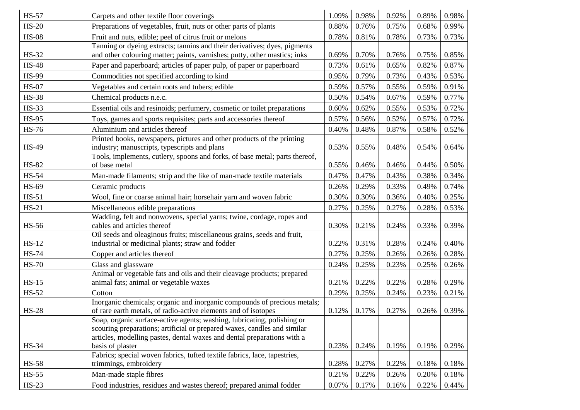| <b>HS-57</b> | Carpets and other textile floor coverings                                                                                                                                                                                                          | 1.09% | 0.98% | 0.92% | 0.89% | 0.98% |
|--------------|----------------------------------------------------------------------------------------------------------------------------------------------------------------------------------------------------------------------------------------------------|-------|-------|-------|-------|-------|
| $HS-20$      | Preparations of vegetables, fruit, nuts or other parts of plants                                                                                                                                                                                   | 0.88% | 0.76% | 0.75% | 0.68% | 0.99% |
| <b>HS-08</b> | Fruit and nuts, edible; peel of citrus fruit or melons                                                                                                                                                                                             | 0.78% | 0.81% | 0.78% | 0.73% | 0.73% |
|              | Tanning or dyeing extracts; tannins and their derivatives; dyes, pigments                                                                                                                                                                          |       |       |       |       |       |
| HS-32        | and other colouring matter; paints, varnishes; putty, other mastics; inks                                                                                                                                                                          | 0.69% | 0.70% | 0.76% | 0.75% | 0.85% |
| <b>HS-48</b> | Paper and paperboard; articles of paper pulp, of paper or paperboard                                                                                                                                                                               | 0.73% | 0.61% | 0.65% | 0.82% | 0.87% |
| <b>HS-99</b> | Commodities not specified according to kind                                                                                                                                                                                                        | 0.95% | 0.79% | 0.73% | 0.43% | 0.53% |
| <b>HS-07</b> | Vegetables and certain roots and tubers; edible                                                                                                                                                                                                    | 0.59% | 0.57% | 0.55% | 0.59% | 0.91% |
| <b>HS-38</b> | Chemical products n.e.c.                                                                                                                                                                                                                           | 0.50% | 0.54% | 0.67% | 0.59% | 0.77% |
| <b>HS-33</b> | Essential oils and resinoids; perfumery, cosmetic or toilet preparations                                                                                                                                                                           | 0.60% | 0.62% | 0.55% | 0.53% | 0.72% |
| <b>HS-95</b> | Toys, games and sports requisites; parts and accessories thereof                                                                                                                                                                                   | 0.57% | 0.56% | 0.52% | 0.57% | 0.72% |
| <b>HS-76</b> | Aluminium and articles thereof                                                                                                                                                                                                                     | 0.40% | 0.48% | 0.87% | 0.58% | 0.52% |
| <b>HS-49</b> | Printed books, newspapers, pictures and other products of the printing<br>industry; manuscripts, typescripts and plans                                                                                                                             | 0.53% | 0.55% | 0.48% | 0.54% | 0.64% |
| <b>HS-82</b> | Tools, implements, cutlery, spoons and forks, of base metal; parts thereof,<br>of base metal                                                                                                                                                       | 0.55% | 0.46% | 0.46% | 0.44% | 0.50% |
| <b>HS-54</b> | Man-made filaments; strip and the like of man-made textile materials                                                                                                                                                                               | 0.47% | 0.47% | 0.43% | 0.38% | 0.34% |
| HS-69        | Ceramic products                                                                                                                                                                                                                                   | 0.26% | 0.29% | 0.33% | 0.49% | 0.74% |
| $HS-51$      | Wool, fine or coarse animal hair; horsehair yarn and woven fabric                                                                                                                                                                                  | 0.30% | 0.30% | 0.36% | 0.40% | 0.25% |
| $HS-21$      | Miscellaneous edible preparations                                                                                                                                                                                                                  | 0.27% | 0.25% | 0.27% | 0.28% | 0.53% |
|              | Wadding, felt and nonwovens, special yarns; twine, cordage, ropes and                                                                                                                                                                              |       |       |       |       |       |
| <b>HS-56</b> | cables and articles thereof                                                                                                                                                                                                                        | 0.30% | 0.21% | 0.24% | 0.33% | 0.39% |
| $HS-12$      | Oil seeds and oleaginous fruits; miscellaneous grains, seeds and fruit,<br>industrial or medicinal plants; straw and fodder                                                                                                                        | 0.22% | 0.31% | 0.28% | 0.24% | 0.40% |
| <b>HS-74</b> | Copper and articles thereof                                                                                                                                                                                                                        | 0.27% | 0.25% | 0.26% | 0.26% | 0.28% |
| <b>HS-70</b> | Glass and glassware                                                                                                                                                                                                                                | 0.24% | 0.25% | 0.23% | 0.25% | 0.26% |
|              | Animal or vegetable fats and oils and their cleavage products; prepared                                                                                                                                                                            |       |       |       |       |       |
| $HS-15$      | animal fats; animal or vegetable waxes                                                                                                                                                                                                             | 0.21% | 0.22% | 0.22% | 0.28% | 0.29% |
| HS-52        | Cotton                                                                                                                                                                                                                                             | 0.29% | 0.25% | 0.24% | 0.23% | 0.21% |
| <b>HS-28</b> | Inorganic chemicals; organic and inorganic compounds of precious metals;<br>of rare earth metals, of radio-active elements and of isotopes                                                                                                         | 0.12% | 0.17% | 0.27% | 0.26% | 0.39% |
| <b>HS-34</b> | Soap, organic surface-active agents; washing, lubricating, polishing or<br>scouring preparations; artificial or prepared waxes, candles and similar<br>articles, modelling pastes, dental waxes and dental preparations with a<br>basis of plaster | 0.23% | 0.24% | 0.19% | 0.19% | 0.29% |
|              | Fabrics; special woven fabrics, tufted textile fabrics, lace, tapestries,                                                                                                                                                                          |       |       |       |       |       |
| <b>HS-58</b> | trimmings, embroidery                                                                                                                                                                                                                              | 0.28% | 0.27% | 0.22% | 0.18% | 0.18% |
| $HS-55$      | Man-made staple fibres                                                                                                                                                                                                                             | 0.21% | 0.22% | 0.26% | 0.20% | 0.18% |
| $HS-23$      | Food industries, residues and wastes thereof; prepared animal fodder                                                                                                                                                                               | 0.07% | 0.17% | 0.16% | 0.22% | 0.44% |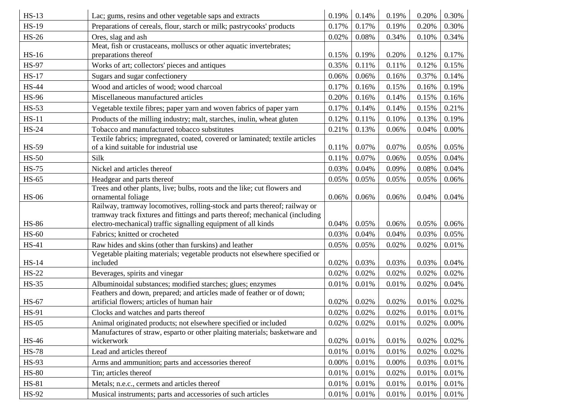| $HS-13$      | Lac; gums, resins and other vegetable saps and extracts                                                                                       | 0.19%    | 0.14% | 0.19% | 0.20% | 0.30%    |
|--------------|-----------------------------------------------------------------------------------------------------------------------------------------------|----------|-------|-------|-------|----------|
| <b>HS-19</b> | Preparations of cereals, flour, starch or milk; pastrycooks' products                                                                         | 0.17%    | 0.17% | 0.19% | 0.20% | 0.30%    |
| <b>HS-26</b> | Ores, slag and ash                                                                                                                            | 0.02%    | 0.08% | 0.34% | 0.10% | 0.34%    |
|              | Meat, fish or crustaceans, molluscs or other aquatic invertebrates;                                                                           |          |       |       |       |          |
| <b>HS-16</b> | preparations thereof                                                                                                                          | 0.15%    | 0.19% | 0.20% | 0.12% | 0.17%    |
| <b>HS-97</b> | Works of art; collectors' pieces and antiques                                                                                                 | 0.35%    | 0.11% | 0.11% | 0.12% | 0.15%    |
| <b>HS-17</b> | Sugars and sugar confectionery                                                                                                                | 0.06%    | 0.06% | 0.16% | 0.37% | 0.14%    |
| <b>HS-44</b> | Wood and articles of wood; wood charcoal                                                                                                      | 0.17%    | 0.16% | 0.15% | 0.16% | 0.19%    |
| <b>HS-96</b> | Miscellaneous manufactured articles                                                                                                           | 0.20%    | 0.16% | 0.14% | 0.15% | 0.16%    |
| $HS-53$      | Vegetable textile fibres; paper yarn and woven fabrics of paper yarn                                                                          | 0.17%    | 0.14% | 0.14% | 0.15% | 0.21%    |
| $HS-11$      | Products of the milling industry; malt, starches, inulin, wheat gluten                                                                        | 0.12%    | 0.11% | 0.10% | 0.13% | 0.19%    |
| <b>HS-24</b> | Tobacco and manufactured tobacco substitutes                                                                                                  | 0.21%    | 0.13% | 0.06% | 0.04% | 0.00%    |
| <b>HS-59</b> | Textile fabrics; impregnated, coated, covered or laminated; textile articles<br>of a kind suitable for industrial use                         | 0.11%    | 0.07% | 0.07% | 0.05% | 0.05%    |
| $HS-50$      | Silk                                                                                                                                          | 0.11%    | 0.07% | 0.06% | 0.05% | 0.04%    |
| <b>HS-75</b> | Nickel and articles thereof                                                                                                                   | 0.03%    | 0.04% | 0.09% | 0.08% | 0.04%    |
| $HS-65$      | Headgear and parts thereof                                                                                                                    | 0.05%    | 0.05% | 0.05% | 0.05% | 0.06%    |
| <b>HS-06</b> | Trees and other plants, live; bulbs, roots and the like; cut flowers and<br>ornamental foliage                                                | 0.06%    | 0.06% | 0.06% | 0.04% | 0.04%    |
|              | Railway, tramway locomotives, rolling-stock and parts thereof; railway or                                                                     |          |       |       |       |          |
| <b>HS-86</b> | tramway track fixtures and fittings and parts thereof; mechanical (including<br>electro-mechanical) traffic signalling equipment of all kinds | 0.04%    | 0.05% | 0.06% | 0.05% | 0.06%    |
| <b>HS-60</b> | Fabrics; knitted or crocheted                                                                                                                 | 0.03%    | 0.04% | 0.04% | 0.03% | 0.05%    |
| <b>HS-41</b> |                                                                                                                                               | 0.05%    |       | 0.02% |       |          |
|              | Raw hides and skins (other than furskins) and leather<br>Vegetable plaiting materials; vegetable products not elsewhere specified or          |          | 0.05% |       | 0.02% | 0.01%    |
| <b>HS-14</b> | included                                                                                                                                      | 0.02%    | 0.03% | 0.03% | 0.03% | 0.04%    |
| <b>HS-22</b> | Beverages, spirits and vinegar                                                                                                                | 0.02%    | 0.02% | 0.02% | 0.02% | 0.02%    |
| <b>HS-35</b> | Albuminoidal substances; modified starches; glues; enzymes                                                                                    | 0.01%    | 0.01% | 0.01% | 0.02% | 0.04%    |
|              | Feathers and down, prepared; and articles made of feather or of down;                                                                         |          |       |       |       |          |
| <b>HS-67</b> | artificial flowers; articles of human hair                                                                                                    | 0.02%    | 0.02% | 0.02% | 0.01% | 0.02%    |
| <b>HS-91</b> | Clocks and watches and parts thereof                                                                                                          | 0.02%    | 0.02% | 0.02% | 0.01% | 0.01%    |
| $HS-05$      | Animal originated products; not elsewhere specified or included                                                                               | 0.02%    | 0.02% | 0.01% | 0.02% | $0.00\%$ |
|              | Manufactures of straw, esparto or other plaiting materials; basketware and                                                                    |          |       |       |       |          |
| HS-46        | wickerwork                                                                                                                                    | 0.02%    | 0.01% | 0.01% | 0.02% | 0.02%    |
| <b>HS-78</b> | Lead and articles thereof                                                                                                                     | 0.01%    | 0.01% | 0.01% | 0.02% | 0.02%    |
| HS-93        | Arms and ammunition; parts and accessories thereof                                                                                            | $0.00\%$ | 0.01% | 0.00% | 0.03% | 0.01%    |
| <b>HS-80</b> | Tin; articles thereof                                                                                                                         | 0.01%    | 0.01% | 0.02% | 0.01% | 0.01%    |
| <b>HS-81</b> | Metals; n.e.c., cermets and articles thereof                                                                                                  | 0.01%    | 0.01% | 0.01% | 0.01% | 0.01%    |
| HS-92        | Musical instruments; parts and accessories of such articles                                                                                   | 0.01%    | 0.01% | 0.01% | 0.01% | 0.01%    |